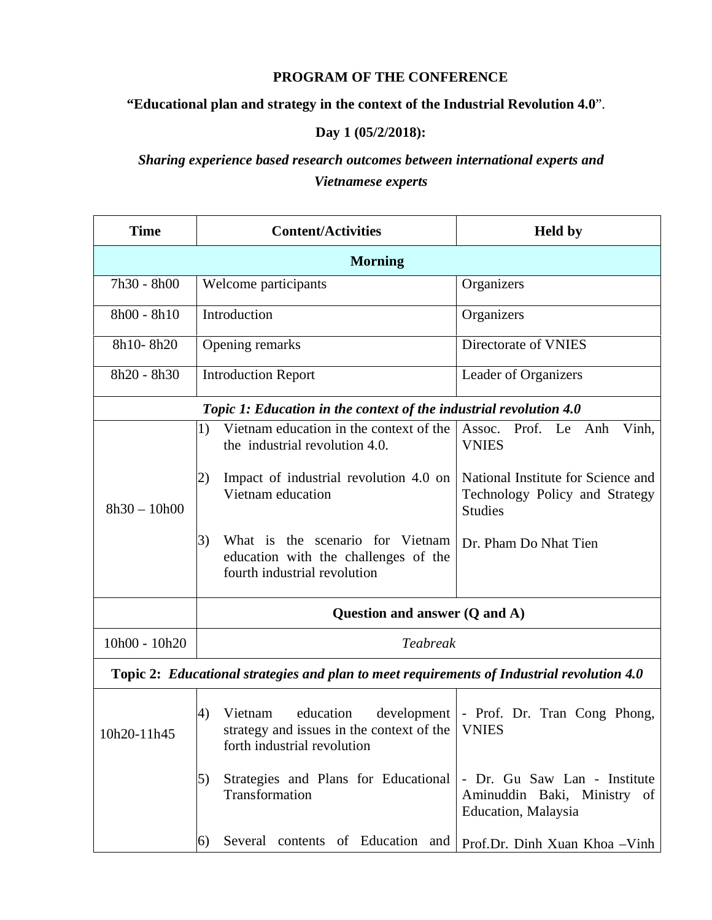### **PROGRAM OF THE CONFERENCE**

### **"Educational plan and strategy in the context of the Industrial Revolution 4.0**".

### **Day 1 (05/2/2018):**

# *Sharing experience based research outcomes between international experts and Vietnamese experts*

| <b>Time</b>                                                                                | <b>Content/Activities</b>                                                                                             | <b>Held</b> by                                                                         |  |  |
|--------------------------------------------------------------------------------------------|-----------------------------------------------------------------------------------------------------------------------|----------------------------------------------------------------------------------------|--|--|
| <b>Morning</b>                                                                             |                                                                                                                       |                                                                                        |  |  |
| 7h30 - 8h00                                                                                | Welcome participants                                                                                                  | Organizers                                                                             |  |  |
| 8h00 - 8h10                                                                                | Introduction                                                                                                          | Organizers                                                                             |  |  |
| 8h10-8h20                                                                                  | Opening remarks                                                                                                       | Directorate of VNIES                                                                   |  |  |
| 8h20 - 8h30                                                                                | <b>Introduction Report</b>                                                                                            | Leader of Organizers                                                                   |  |  |
| Topic 1: Education in the context of the industrial revolution 4.0                         |                                                                                                                       |                                                                                        |  |  |
|                                                                                            | Vietnam education in the context of the<br>1)<br>the industrial revolution 4.0.                                       | Prof. Le Anh<br>Assoc.<br>Vinh,<br><b>VNIES</b>                                        |  |  |
| $8h30 - 10h00$                                                                             | Impact of industrial revolution 4.0 on<br>2)<br>Vietnam education                                                     | National Institute for Science and<br>Technology Policy and Strategy<br><b>Studies</b> |  |  |
|                                                                                            | 3)<br>What is the scenario for Vietnam<br>education with the challenges of the<br>fourth industrial revolution        | Dr. Pham Do Nhat Tien                                                                  |  |  |
|                                                                                            | Question and answer (Q and A)                                                                                         |                                                                                        |  |  |
| 10h00 - 10h20                                                                              | Teabreak                                                                                                              |                                                                                        |  |  |
| Topic 2: Educational strategies and plan to meet requirements of Industrial revolution 4.0 |                                                                                                                       |                                                                                        |  |  |
| 10h20-11h45                                                                                | education<br>development<br>4)<br>Vietnam<br>strategy and issues in the context of the<br>forth industrial revolution | - Prof. Dr. Tran Cong Phong,<br><b>VNIES</b>                                           |  |  |
|                                                                                            | 5)<br>Strategies and Plans for Educational<br>Transformation                                                          | - Dr. Gu Saw Lan - Institute<br>Aminuddin Baki, Ministry of<br>Education, Malaysia     |  |  |
|                                                                                            | Several contents of Education and<br>6)                                                                               | Prof.Dr. Dinh Xuan Khoa - Vinh                                                         |  |  |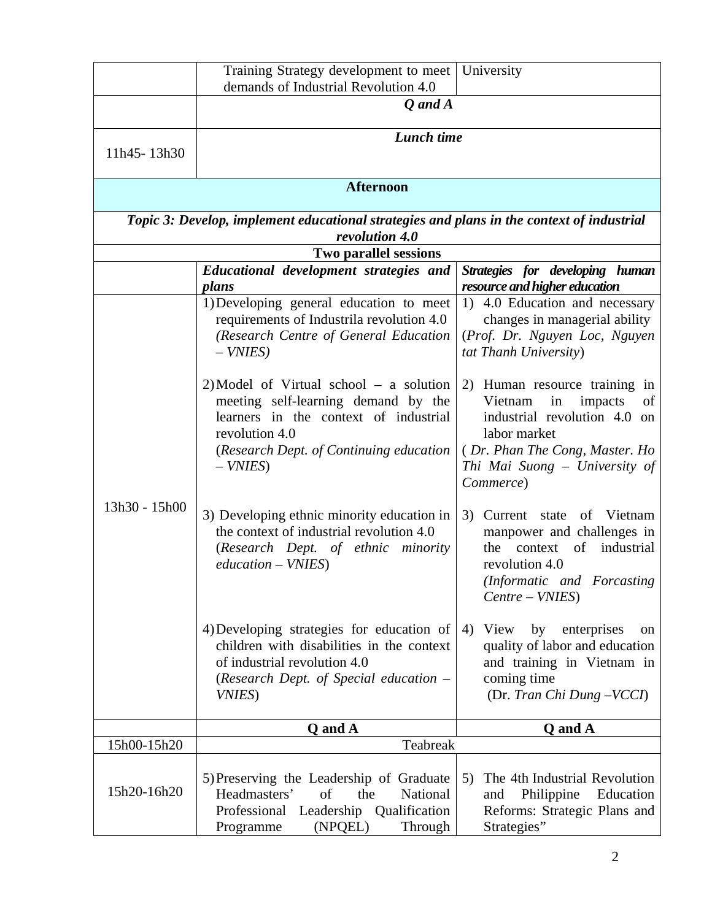|                                                                                                             | Training Strategy development to meet<br>demands of Industrial Revolution 4.0                                                                                                                        | University                                                                                                                                                                                      |  |
|-------------------------------------------------------------------------------------------------------------|------------------------------------------------------------------------------------------------------------------------------------------------------------------------------------------------------|-------------------------------------------------------------------------------------------------------------------------------------------------------------------------------------------------|--|
|                                                                                                             | Q and A                                                                                                                                                                                              |                                                                                                                                                                                                 |  |
| 11h45-13h30                                                                                                 | Lunch time                                                                                                                                                                                           |                                                                                                                                                                                                 |  |
| <b>Afternoon</b>                                                                                            |                                                                                                                                                                                                      |                                                                                                                                                                                                 |  |
| Topic 3: Develop, implement educational strategies and plans in the context of industrial<br>revolution 4.0 |                                                                                                                                                                                                      |                                                                                                                                                                                                 |  |
|                                                                                                             | Two parallel sessions                                                                                                                                                                                |                                                                                                                                                                                                 |  |
|                                                                                                             | Educational development strategies and<br>plans                                                                                                                                                      | Strategies for developing human<br>resource and higher education                                                                                                                                |  |
| 13h30 - 15h00                                                                                               | 1) Developing general education to meet<br>requirements of Industrila revolution 4.0<br>(Research Centre of General Education<br>$-$ VNIES)                                                          | 1) 4.0 Education and necessary<br>changes in managerial ability<br>(Prof. Dr. Nguyen Loc, Nguyen<br>tat Thanh University)                                                                       |  |
|                                                                                                             | $2)$ Model of Virtual school – a solution<br>meeting self-learning demand by the<br>learners in the context of industrial<br>revolution 4.0<br>(Research Dept. of Continuing education<br>$-$ VNIES) | 2) Human resource training in<br>Vietnam<br>impacts<br>in<br>of<br>industrial revolution 4.0 on<br>labor market<br>(Dr. Phan The Cong, Master. Ho<br>Thi Mai Suong – University of<br>Commerce) |  |
|                                                                                                             | 3) Developing ethnic minority education in<br>the context of industrial revolution 4.0<br>(Research Dept. of ethnic minority<br>$education - VNIES)$                                                 | 3) Current state<br>of Vietnam<br>manpower and challenges in<br>industrial<br>of<br>the<br>context<br>revolution 4.0<br>(Informatic and Forcasting)<br>Centre – VNIES)                          |  |
|                                                                                                             | 4) Developing strategies for education of<br>children with disabilities in the context<br>of industrial revolution 4.0<br>(Research Dept. of Special education $-$<br><i>VNIES</i> )                 | 4) View<br>by<br>enterprises<br>on.<br>quality of labor and education<br>and training in Vietnam in<br>coming time<br>(Dr. Tran Chi Dung -VCCI)                                                 |  |
|                                                                                                             | Q and A                                                                                                                                                                                              | Q and A                                                                                                                                                                                         |  |
| 15h00-15h20                                                                                                 | Teabreak                                                                                                                                                                                             |                                                                                                                                                                                                 |  |
| 15h20-16h20                                                                                                 | 5) Preserving the Leadership of Graduate<br>Headmasters'<br>National<br>of<br>the<br>Professional Leadership Qualification<br>Programme<br>(NPQEL)<br>Through                                        | The 4th Industrial Revolution<br>5)<br>Philippine<br>Education<br>and<br>Reforms: Strategic Plans and<br>Strategies"                                                                            |  |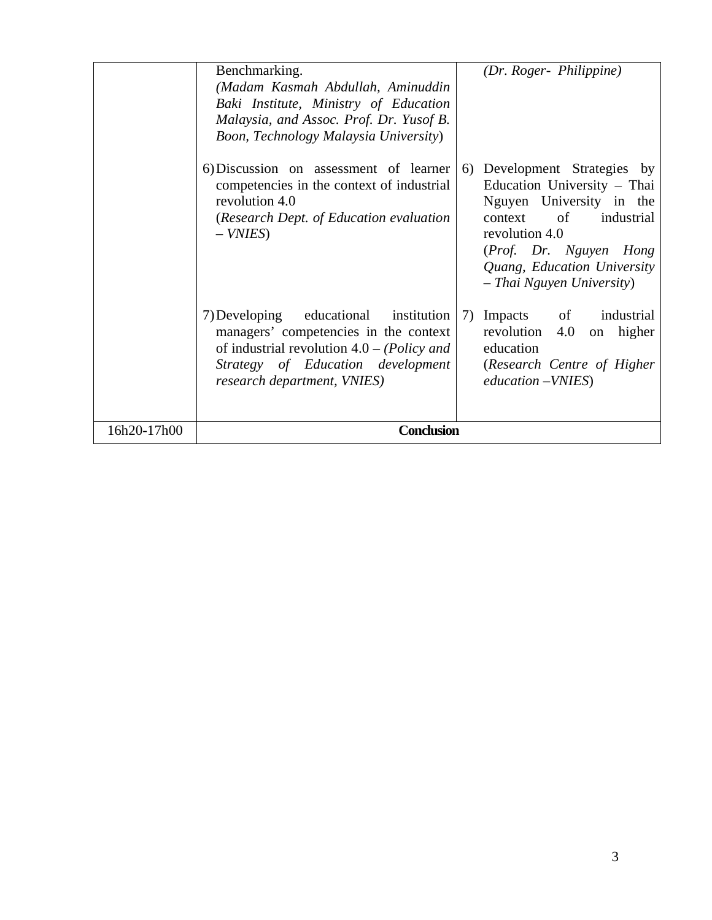|             | Benchmarking.<br>(Madam Kasmah Abdullah, Aminuddin<br>Baki Institute, Ministry of Education<br>Malaysia, and Assoc. Prof. Dr. Yusof B.<br>Boon, Technology Malaysia University)                       |    | (Dr. Roger- Philippine)                                                                                                                                                                                                  |
|-------------|-------------------------------------------------------------------------------------------------------------------------------------------------------------------------------------------------------|----|--------------------------------------------------------------------------------------------------------------------------------------------------------------------------------------------------------------------------|
|             | 6) Discussion on assessment of learner<br>competencies in the context of industrial<br>revolution 4.0<br>(Research Dept. of Education evaluation<br>$-$ VNIES)                                        |    | 6) Development Strategies by<br>Education University - Thai<br>Nguyen University in the<br>context of industrial<br>revolution 4.0<br>(Prof. Dr. Nguyen Hong<br>Quang, Education University<br>- Thai Nguyen University) |
|             | 7) Developing educational institution<br>managers' competencies in the context<br>of industrial revolution $4.0 - (Policy \ and)$<br>Strategy of Education development<br>research department, VNIES) | 7) | Impacts of industrial<br>revolution 4.0 on higher<br>education<br>(Research Centre of Higher<br>education – VNIES)                                                                                                       |
| 16h20-17h00 | <b>Conclusion</b>                                                                                                                                                                                     |    |                                                                                                                                                                                                                          |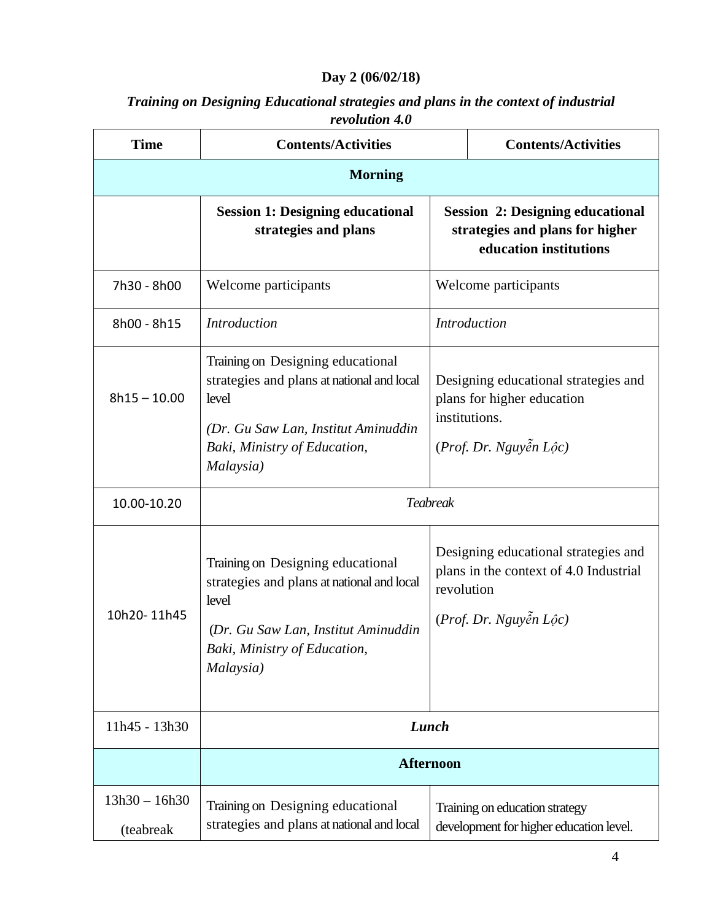# **Day 2 (06/02/18)**

| Training on Designing Educational strategies and plans in the context of industrial |
|-------------------------------------------------------------------------------------|
| revolution 4.0                                                                      |

| <b>Time</b>                  | <b>Contents/Activities</b>                                                                                                                                                   |                                                                                                                        | <b>Contents/Activities</b>                                                |
|------------------------------|------------------------------------------------------------------------------------------------------------------------------------------------------------------------------|------------------------------------------------------------------------------------------------------------------------|---------------------------------------------------------------------------|
| <b>Morning</b>               |                                                                                                                                                                              |                                                                                                                        |                                                                           |
|                              | <b>Session 1: Designing educational</b><br>strategies and plans                                                                                                              | <b>Session 2: Designing educational</b><br>strategies and plans for higher<br>education institutions                   |                                                                           |
| 7h30 - 8h00                  | Welcome participants                                                                                                                                                         | Welcome participants                                                                                                   |                                                                           |
| 8h00 - 8h15                  | <b>Introduction</b>                                                                                                                                                          | <b>Introduction</b>                                                                                                    |                                                                           |
| $8h15 - 10.00$               | Training on Designing educational<br>strategies and plans at national and local<br>level<br>(Dr. Gu Saw Lan, Institut Aminuddin<br>Baki, Ministry of Education,<br>Malaysia) | Designing educational strategies and<br>plans for higher education<br>institutions.<br>$(Prof. Dr. Nguyén Loôc)$       |                                                                           |
| 10.00-10.20                  | <b>Teabreak</b>                                                                                                                                                              |                                                                                                                        |                                                                           |
| 10h20-11h45                  | Training on Designing educational<br>strategies and plans at national and local<br>level<br>(Dr. Gu Saw Lan, Institut Aminuddin<br>Baki, Ministry of Education,<br>Malaysia) | Designing educational strategies and<br>plans in the context of 4.0 Industrial<br>revolution<br>(Prof. Dr. Nguyễn Lộc) |                                                                           |
| 11h45 - 13h30                | Lunch                                                                                                                                                                        |                                                                                                                        |                                                                           |
|                              | <b>Afternoon</b>                                                                                                                                                             |                                                                                                                        |                                                                           |
| $13h30 - 16h30$<br>(teabreak | Training on Designing educational<br>strategies and plans at national and local                                                                                              |                                                                                                                        | Training on education strategy<br>development for higher education level. |